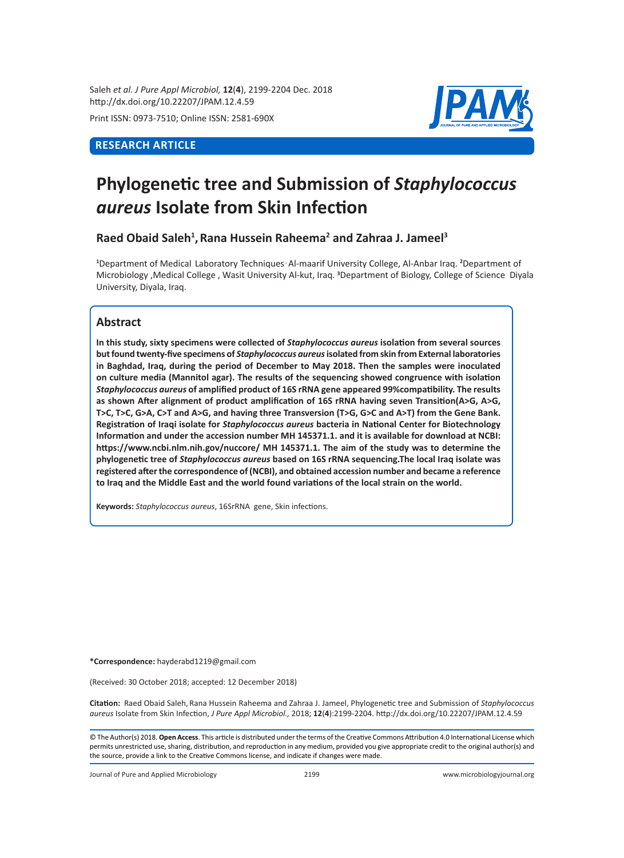Saleh *et al. J Pure Appl Microbiol,* **12**(**4**), 2199-2204 Dec. 2018 http://dx.doi.org/10.22207/JPAM.12.4.59

Print ISSN: 0973-7510; Online ISSN: 2581-690X

# **RESEARCH ARTICLE**



# **Phylogenetic tree and Submission of** *Staphylococcus aureus* **Isolate from Skin Infection**

**Raed Obaid Saleh<sup>1</sup> ,Rana Hussein Raheema<sup>2</sup> and Zahraa J. Jameel<sup>3</sup>**

**1** Department of Medical Laboratory Techniques , Al-maarif University College, Al-Anbar Iraq. **<sup>2</sup>** Department of Microbiology ,Medical College , Wasit University Al-kut, Iraq. **<sup>3</sup>** Department of Biology, College of Science Diyala University, Diyala, Iraq.

## **Abstract**

**In this study, sixty specimens were collected of** *Staphylococcus aureus* **isolation from several sources but found twenty-five specimens of** *Staphylococcus aureus* **isolated from skin from External laboratories in Baghdad, Iraq, during the period of December to May 2018. Then the samples were inoculated on culture media (Mannitol agar). The results of the sequencing showed congruence with isolation**  *Staphylococcus aureus* **of amplified product of 16S rRNA gene appeared 99%compatibility. The results as shown After alignment of product amplification of 16S rRNA having seven Transition(A>G, A>G, T>C, T>C, G>A, C>T and A>G, and having three Transversion (T>G, G>C and A>T) from the Gene Bank. Registration of Iraqi isolate for** *Staphylococcus aureus* **bacteria in National Center for Biotechnology Information and under the accession number MH 145371.1. and it is available for download at NCBI: https://www.ncbi.nlm.nih.gov/nuccore/ MH 145371.1. The aim of the study was to determine the phylogenetic tree of** *Staphylococcus aureus* **based on 16S rRNA sequencing.The local Iraq isolate was registered after the correspondence of (NCBI), and obtained accession number and became a reference to Iraq and the Middle East and the world found variations of the local strain on the world.**

**Keywords:** *Staphylococcus aureus*, 16SrRNA gene, Skin infections.

**\*Correspondence:** hayderabd1219@gmail.com

(Received: 30 October 2018; accepted: 12 December 2018)

**Citation:**  Raed Obaid Saleh, Rana Hussein Raheema and Zahraa J. Jameel, Phylogenetic tree and Submission of *Staphylococcus aureus* Isolate from Skin Infection, *J Pure Appl Microbiol.,* 2018; **12**(**4**):2199-2204. http://dx.doi.org/10.22207/JPAM.12.4.59

© The Author(s) 2018. **Open Access**. This article is distributed under the terms of the Creative Commons Attribution 4.0 International License which permits unrestricted use, sharing, distribution, and reproduction in any medium, provided you give appropriate credit to the original author(s) and the source, provide a link to the Creative Commons license, and indicate if changes were made.

Journal of Pure and Applied Microbiology 2199 www.microbiologyjournal.org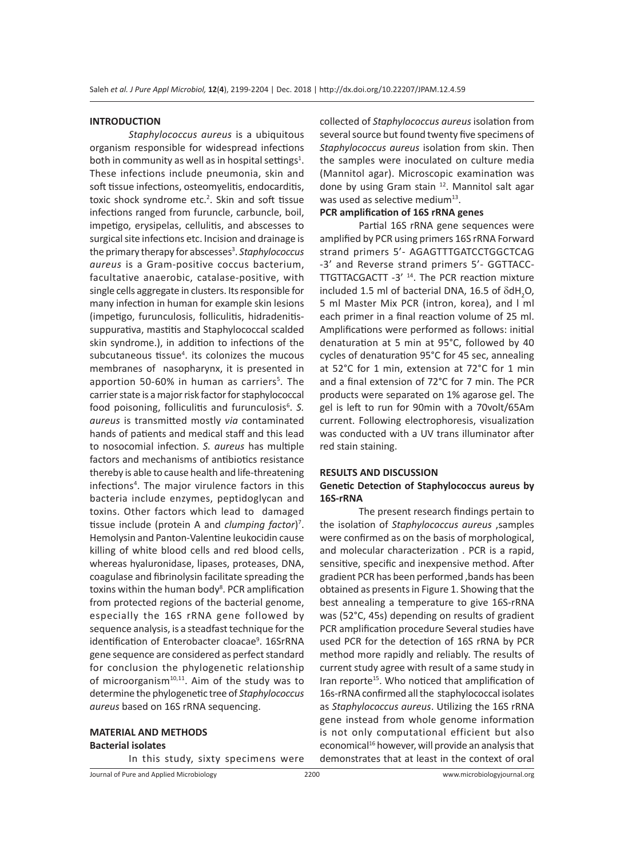#### **INTRODUCTION**

*Staphylococcus aureus* is a ubiquitous organism responsible for widespread infections both in community as well as in hospital settings<sup>1</sup>. These infections include pneumonia, skin and soft tissue infections, osteomyelitis, endocarditis, toxic shock syndrome etc.<sup>2</sup>. Skin and soft tissue infections ranged from furuncle, carbuncle, boil, impetigo, erysipelas, cellulitis, and abscesses to surgical site infections etc. Incision and drainage is the primary therapy for abscesses<sup>3</sup>. Staphylococcus *aureus* is a Gram-positive coccus bacterium, facultative anaerobic, catalase-positive, with single cells aggregate in clusters. Its responsible for many infection in human for example skin lesions (impetigo, furunculosis, folliculitis, hidradenitissuppurativa, mastitis and Staphylococcal scalded skin syndrome.), in addition to infections of the subcutaneous tissue<sup>4</sup>. its colonizes the mucous membranes of nasopharynx, it is presented in apportion 50-60% in human as carriers<sup>5</sup>. The carrier state is a major risk factor for staphylococcal food poisoning, folliculitis and furunculosis<sup>6</sup>. S. *aureus* is transmitted mostly *via* contaminated hands of patients and medical staff and this lead to nosocomial infection. *S. aureus* has multiple factors and mechanisms of antibiotics resistance thereby is able to cause health and life-threatening infections4 . The major virulence factors in this bacteria include enzymes, peptidoglycan and toxins. Other factors which lead to damaged tissue include (protein A and *clumping factor*) 7 . Hemolysin and Panton-Valentine leukocidin cause killing of white blood cells and red blood cells, whereas hyaluronidase, lipases, proteases, DNA, coagulase and fibrinolysin facilitate spreading the toxins within the human body<sup>8</sup>. PCR amplification from protected regions of the bacterial genome, especially the 16S rRNA gene followed by sequence analysis, is a steadfast technique for the identification of Enterobacter cloacae<sup>9</sup>. 16SrRNA gene sequence are considered as perfect standard for conclusion the phylogenetic relationship of microorganism $10,11$ . Aim of the study was to determine the phylogenetic tree of *Staphylococcus aureus* based on 16S rRNA sequencing.

# **MATERIAL AND METHODS Bacterial isolates**

In this study, sixty specimens were

collected of *Staphylococcus aureus* isolation from several source but found twenty five specimens of *Staphylococcus aureus* isolation from skin. Then the samples were inoculated on culture media (Mannitol agar). Microscopic examination was done by using Gram stain <sup>12</sup>. Mannitol salt agar was used as selective medium $^{13}$ .

### **PCR amplification of 16S rRNA genes**

Partial 16S rRNA gene sequences were amplified by PCR using primers 16S rRNA Forward strand primers 5'- AGAGTTTGATCCTGGCTCAG -3' and Reverse strand primers 5'- GGTTACC-TTGTTACGACTT -3' 14. The PCR reaction mixture included 1.5 ml of bacterial DNA, 16.5 of  $\delta$ dH<sub>2</sub>O, 5 ml Master Mix PCR (intron, korea), and l ml each primer in a final reaction volume of 25 ml. Amplifications were performed as follows: initial denaturation at 5 min at 95°C, followed by 40 cycles of denaturation 95°C for 45 sec, annealing at 52°C for 1 min, extension at 72°C for 1 min and a final extension of 72°C for 7 min. The PCR products were separated on 1% agarose gel. The gel is left to run for 90min with a 70volt/65Am current. Following electrophoresis, visualization was conducted with a UV trans illuminator after red stain staining.

#### **RESULTS AND DISCUSSION**

#### **Genetic Detection of Staphylococcus aureus by 16S-rRNA**

The present research findings pertain to the isolation of *Staphylococcus aureus* ,samples were confirmed as on the basis of morphological, and molecular characterization . PCR is a rapid, sensitive, specific and inexpensive method. After gradient PCR has been performed ,bands has been obtained as presents in Figure 1. Showing that the best annealing a temperature to give 16S-rRNA was (52°C, 45s) depending on results of gradient PCR amplification procedure Several studies have used PCR for the detection of 16S rRNA by PCR method more rapidly and reliably. The results of current study agree with result of a same study in Iran reporte<sup>15</sup>. Who noticed that amplification of 16s-rRNA confirmed all the staphylococcal isolates as *Staphylococcus aureus*. Utilizing the 16S rRNA gene instead from whole genome information is not only computational efficient but also economical<sup>16</sup> however, will provide an analysis that demonstrates that at least in the context of oral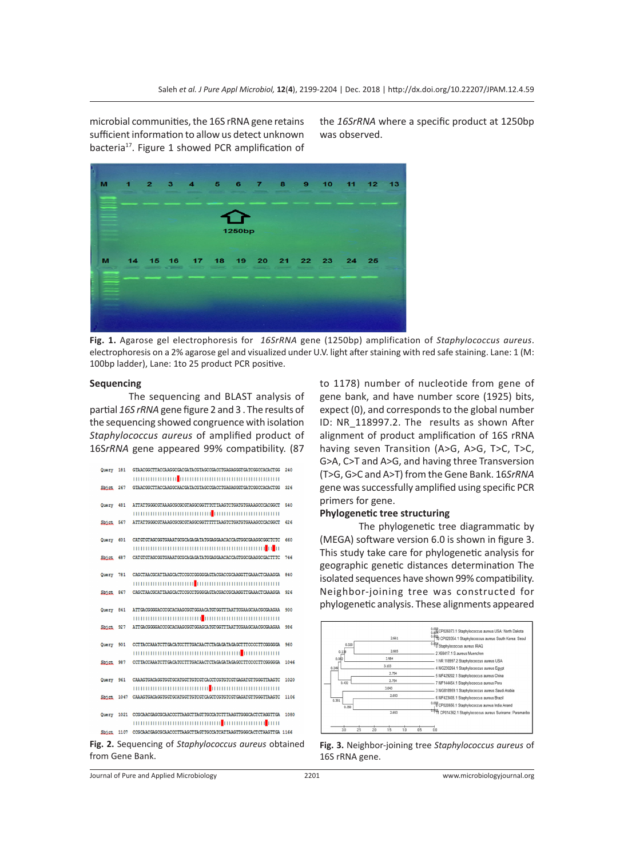microbial communities, the 16S rRNA gene retains sufficient information to allow us detect unknown bacteria<sup>17</sup>. Figure 1 showed PCR amplification of

the *16SrRNA* where a specific product at 1250bp was observed.



**Fig. 1.** Agarose gel electrophoresis for *16SrRNA* gene (1250bp) amplification of *Staphylococcus aureus*. electrophoresis on a 2% agarose gel and visualized under U.V. light after staining with red safe staining. Lane: 1 (M: 100bp ladder), Lane: 1to 25 product PCR positive.

#### **Sequencing**

The sequencing and BLAST analysis of partial *16S rRNA* gene figure 2 and 3 . The results of the sequencing showed congruence with isolation *Staphylococcus aureus* of amplified product of 16S*rRNA* gene appeared 99% compatibility. (87

| Query 181 | GTAACGGCTTACCAAGGCGACGATACGTAGCCGACCTGAGAGGGTGATCGGCCACACTGG                 | 240  |
|-----------|------------------------------------------------------------------------------|------|
|           |                                                                              |      |
| Shict 267 | GTAACGGCTTACCAAGGCAACGATACGTAGCCGACCTGAGAGGGTGATCGGCCACACTGG                 | 326  |
|           |                                                                              |      |
| Query 481 | ATTATTGGGCGTAAAGCGCGCGTAGGCGGTTTCTTAAGTCTGATGTGAAAGCCCACGGCT                 | 540  |
|           |                                                                              |      |
| Shict 567 | ATTATTGGGCGTAAAGCGCGCGTAGGCGGTTTTTTAAGTCTGATGTGAAAGCCCACGGCT                 | 626  |
|           |                                                                              |      |
| Query 601 | CATGTGTAGCGGTGAAATGCGCAGAGATATGGAGGAACACCAGTGGCGAAGGCGGCTCTC                 | 660  |
|           |                                                                              |      |
| Shict 687 | CATGTGTAGCGGTGAAATGCGCAGAGATATGGAGGAACACCAGTGGCGAAGGCGACTTTC                 | 746  |
| Query 781 | CAGCTAACGCATTAAGCACTCCGCCGGGGGAGTACGACCGCAAGGTTGAAACTCAAAGGA                 | 840  |
|           |                                                                              |      |
| Shict 867 | CAGCTAACGCATTAAGCACTCCGCCTGGGGAGTACGACCGCAAGGTTGAAACTCAAAGGA                 | 926  |
|           |                                                                              |      |
| Query 841 | ATTGACGGGGACCCGCACAAGCGGTGGAACATGTGGTTTAATTCGAAGCAACGCGAAGAA                 | 900  |
|           |                                                                              |      |
| Shict 927 | ATTGACGGGGACCCGCACAAGCGGTGGAGCATGTGGTTTAATTCGAAGCAACGCGAAGAA                 | 986  |
|           |                                                                              |      |
| Query 901 | CCTTACCAAATCTTGACATCCTTTGACAACTCTAGAGATAGAGCTTTCCCCTTCGGGGGA                 | 960  |
|           | 1000000000000000000000000000 <mark>0</mark> 00000000                         |      |
| Shict 987 | CCTTACCAAATCTTGACATCCTTTGACAACTCTAGAGATAGAGCCTTCCCCTTCGGGGGA                 | 1046 |
|           |                                                                              |      |
| Query 961 | CAAAGTGACAGGTGGTGCATGGTTGTCGTCACCTCGTGTCGTGAGATGTTGGGTTAAGTC                 | 1020 |
|           |                                                                              |      |
|           | Shiet 1047 CAAAGTGACAGGTGGTGCATGGTTGTCGTCAGCTCGTGTCGTGAGATGTTGGGTTAAGTC      | 1106 |
|           | Querv 1021 COSCAACGAGOSCAACCCTTAAGCTTAGTTGCCATCTTTAAGTTGGGCACTCTAGGTTGA      | 1080 |
|           | 100000000000000000000000 <mark>0</mark> 00000000000 <mark>0</mark> 000       |      |
|           | Sbiet 1107 COSCAACGASOSCAACOCTTAAGCTTAGTTGCCATCATTAAGTTGGGCACTCTAAGTTGA 1166 |      |
|           |                                                                              |      |
|           | Fig. 2. Sequencing of Staphylococcus aureus obtained                         |      |

to 1178) number of nucleotide from gene of gene bank, and have number score (1925) bits, expect (0), and corresponds to the global number ID: NR 118997.2. The results as shown After alignment of product amplification of 16S rRNA having seven Transition (A>G, A>G, T>C, T>C, G>A, C>T and A>G, and having three Transversion (T>G, G>C and A>T) from the Gene Bank. 16*SrRNA*  gene was successfully amplified using specific PCR primers for gene.

#### **Phylogenetic tree structuring**

The phylogenetic tree diagrammatic by (MEGA) software version 6.0 is shown in figure 3. This study take care for phylogenetic analysis for geographic genetic distances determination The isolated sequences have shown 99% compatibility. Neighbor-joining tree was constructed for phylogenetic analysis. These alignments appeared



**Fig. 3.** Neighbor-joining tree *Staphylococcus aureus* of 16S rRNA gene.

|  |  |  |  | Journal of Pure and Applied Microbiology |
|--|--|--|--|------------------------------------------|
|--|--|--|--|------------------------------------------|

from Gene Bank.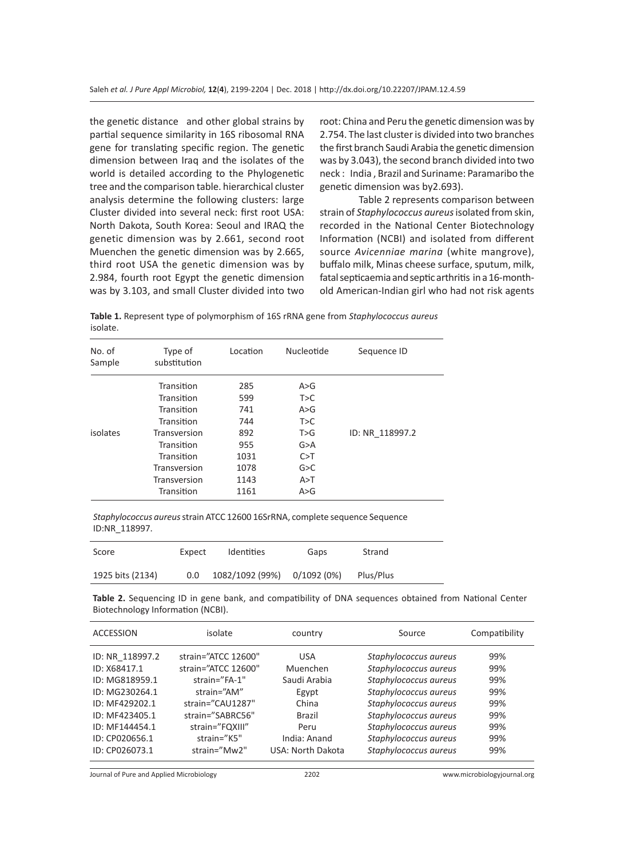the genetic distance and other global strains by partial sequence similarity in 16S ribosomal RNA gene for translating specific region. The genetic dimension between Iraq and the isolates of the world is detailed according to the Phylogenetic tree and the comparison table. hierarchical cluster analysis determine the following clusters: large Cluster divided into several neck: first root USA: North Dakota, South Korea: Seoul and IRAQ the genetic dimension was by 2.661, second root Muenchen the genetic dimension was by 2.665, third root USA the genetic dimension was by 2.984, fourth root Egypt the genetic dimension was by 3.103, and small Cluster divided into two

root: China and Peru the genetic dimension was by 2.754. The last cluster is divided into two branches the first branch Saudi Arabia the genetic dimension was by 3.043), the second branch divided into two neck : India , Brazil and Suriname: Paramaribo the genetic dimension was by2.693).

Table 2 represents comparison between strain of *Staphylococcus aureus* isolated from skin, recorded in the National Center Biotechnology Information (NCBI) and isolated from different source *Avicenniae marina* (white mangrove), buffalo milk, Minas cheese surface, sputum, milk, fatal septicaemia and septic arthritis in a 16-monthold American-Indian girl who had not risk agents

**Table 1.** Represent type of polymorphism of 16S rRNA gene from *Staphylococcus aureus* isolate.

| No. of<br>Sample | Type of<br>substitution | Location | Nucleotide | Sequence ID     |
|------------------|-------------------------|----------|------------|-----------------|
|                  | Transition              | 285      | A > G      |                 |
|                  | Transition              | 599      | T>C        |                 |
|                  | Transition              | 741      | A > G      |                 |
|                  | Transition              | 744      | T>C        |                 |
| isolates         | Transversion            | 892      | T>G        | ID: NR 118997.2 |
|                  | Transition              | 955      | G > A      |                 |
|                  | Transition              | 1031     | C > T      |                 |
|                  | Transversion            | 1078     | G > C      |                 |
|                  | Transversion            | 1143     | A > T      |                 |
|                  | Transition              | 1161     | A > G      |                 |

*Staphylococcus aureus* strain ATCC 12600 16SrRNA, complete sequence Sequence ID:NR\_118997.

| Score            | Expect | <b>Identities</b>           | Gaps | Strand    |  |
|------------------|--------|-----------------------------|------|-----------|--|
| 1925 bits (2134) | 0.0    | 1082/1092 (99%) 0/1092 (0%) |      | Plus/Plus |  |

**Table 2.** Sequencing ID in gene bank, and compatibility of DNA sequences obtained from National Center Biotechnology Information (NCBI).

| ACCESSION                                                                                                                                                     | isolate<br>country                                                                                                                                                                                                                                                                      | Source                                                                                                                                                                                                                        | Compatibility                                               |
|---------------------------------------------------------------------------------------------------------------------------------------------------------------|-----------------------------------------------------------------------------------------------------------------------------------------------------------------------------------------------------------------------------------------------------------------------------------------|-------------------------------------------------------------------------------------------------------------------------------------------------------------------------------------------------------------------------------|-------------------------------------------------------------|
| ID: NR 118997.2<br>ID: X68417.1<br>ID: MG818959.1<br>ID: MG230264.1<br>ID: MF429202.1<br>ID: MF423405.1<br>ID: MF144454.1<br>ID: CP020656.1<br>ID: CP026073.1 | strain="ATCC 12600"<br>USA<br>strain="ATCC 12600"<br>Muenchen<br>strain="FA-1"<br>Saudi Arabia<br>strain="AM"<br>Egypt<br>strain="CAU1287"<br>China<br>strain="SABRC56"<br><b>Brazil</b><br>strain="FQXIII"<br>Peru<br>strain="K5"<br>India: Anand<br>strain="Mw2"<br>USA: North Dakota | Staphylococcus aureus<br>Staphylococcus aureus<br>Staphylococcus aureus<br>Staphylococcus aureus<br>Staphylococcus aureus<br>Staphylococcus aureus<br>Staphylococcus aureus<br>Staphylococcus aureus<br>Staphylococcus aureus | 99%<br>99%<br>99%<br>99%<br>99%<br>99%<br>99%<br>99%<br>99% |

Journal of Pure and Applied Microbiology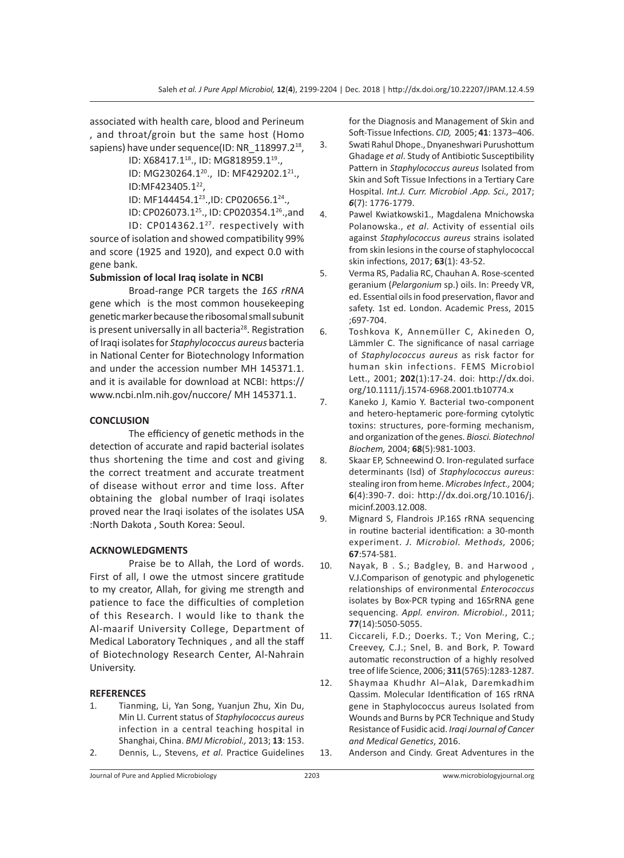associated with health care, blood and Perineum , and throat/groin but the same host (Homo sapiens) have under sequence(ID: NR 118997.2<sup>18</sup>,

ID: X68417.1<sup>18</sup>., ID: MG818959.1<sup>19</sup>.,

ID: MG230264.1<sup>20</sup>., ID: MF429202.1<sup>21</sup>., ID:MF423405.1<sup>22</sup>.

ID: MF144454.1<sup>23</sup>., ID: CP020656.1<sup>24</sup>.,

ID: CP026073.125., ID: CP020354.126.,and

ID: CP014362.1<sup>27</sup>. respectively with source of isolation and showed compatibility 99% and score (1925 and 1920), and expect 0.0 with gene bank.

#### **Submission of local Iraq isolate in NCBI**

Broad-range PCR targets the *16S rRNA* gene which is the most common housekeeping genetic marker because the ribosomal small subunit is present universally in all bacteria<sup>28</sup>. Registration of Iraqi isolates for *Staphylococcus aureus* bacteria in National Center for Biotechnology Information and under the accession number MH 145371.1. and it is available for download at NCBI: https:// www.ncbi.nlm.nih.gov/nuccore/ MH 145371.1.

#### **CONCLUSION**

The efficiency of genetic methods in the detection of accurate and rapid bacterial isolates thus shortening the time and cost and giving the correct treatment and accurate treatment of disease without error and time loss. After obtaining the global number of Iraqi isolates proved near the Iraqi isolates of the isolates USA :North Dakota , South Korea: Seoul.

#### **ACKNOWLEDGMENTS**

Praise be to Allah, the Lord of words. First of all, I owe the utmost sincere gratitude to my creator, Allah, for giving me strength and patience to face the difficulties of completion of this Research. I would like to thank the Al-maarif University College, Department of Medical Laboratory Techniques , and all the staff of Biotechnology Research Center, Al-Nahrain University.

#### **REFERENCES**

1. Tianming, Li, Yan Song, Yuanjun Zhu, Xin Du, Min LI. Current status of *Staphylococcus aureus*  infection in a central teaching hospital in Shanghai, China. *BMJ Microbiol.,* 2013; **13**: 153. 2. Dennis, L., Stevens, *et al*. Practice Guidelines for the Diagnosis and Management of Skin and Soft-Tissue Infections. *CID,* 2005; **41**: 1373–406.

- 3. Swati Rahul Dhope., Dnyaneshwari Purushottum Ghadage *et al*. Study of Antibiotic Susceptibility Pattern in *Staphylococcus aureus* Isolated from Skin and Soft Tissue Infections in a Tertiary Care Hospital. *Int.J. Curr. Microbiol .App. Sci.,* 2017; *6*(7): 1776-1779.
- 4. Pawel Kwiatkowski1., Magdalena Mnichowska Polanowska., *et al*. Activity of essential oils against *Staphylococcus aureus* strains isolated from skin lesions in the course of staphylococcal skin infections, 2017; **63**(1): 43-52.
- 5. Verma RS, Padalia RC, Chauhan A. Rose-scented geranium (*Pelargonium* sp.) oils. In: Preedy VR, ed. Essential oils in food preservation, flavor and safety. 1st ed. London. Academic Press, 2015 ;697-704.
- 6. Toshkova K, Annemüller C, Akineden O, Lämmler C. The significance of nasal carriage of *Staphylococcus aureus* as risk factor for human skin infections. FEMS Microbiol Lett., 2001; **202**(1):17-24. doi: http://dx.doi. org/10.1111/j.1574-6968.2001.tb10774.x
- 7. Kaneko J, Kamio Y. Bacterial two-component and hetero-heptameric pore-forming cytolytic toxins: structures, pore-forming mechanism, and organization of the genes. *Biosci. Biotechnol Biochem,* 2004; **68**(5):981-1003.
- 8. Skaar EP, Schneewind O. Iron-regulated surface determinants (Isd) of *Staphylococcus aureus*: stealing iron from heme. *Microbes Infect.,* 2004; **6**(4):390-7. doi: http://dx.doi.org/10.1016/j. micinf.2003.12.008.
- 9. Mignard S, Flandrois JP.16S rRNA sequencing in routine bacterial identification: a 30-month experiment. *J. Microbiol. Methods,* 2006; **67**:574-581.
- 10. Nayak, B . S.; Badgley, B. and Harwood , V.J.Comparison of genotypic and phylogenetic relationships of environmental *Enterococcus*  isolates by Box-PCR typing and 16SrRNA gene sequencing. *Appl. environ. Microbiol.*, 2011; **77**(14):5050-5055.
- 11. Ciccareli, F.D.; Doerks. T.; Von Mering, C.; Creevey, C.J.; Snel, B. and Bork, P. Toward automatic reconstruction of a highly resolved tree of life Science, 2006; **311**(5765):1283-1287.
- 12. Shaymaa Khudhr Al–Alak, Daremkadhim Qassim. Molecular Identification of 16S rRNA gene in Staphylococcus aureus Isolated from Wounds and Burns by PCR Technique and Study Resistance of Fusidic acid. *Iraqi Journal of Cancer and Medical Genetics*, 2016.
- 13. Anderson and Cindy. Great Adventures in the